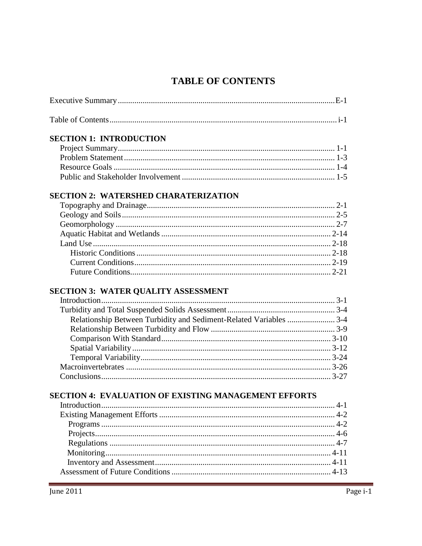## **TABLE OF CONTENTS**

| <b>SECTION 1: INTRODUCTION</b><br><b>SECTION 2: WATERSHED CHARATERIZATION</b><br><b>SECTION 3: WATER QUALITY ASSESSMENT</b><br>Relationship Between Turbidity and Sediment-Related Variables  3-4<br><b>SECTION 4: EVALUATION OF EXISTING MANAGEMENT EFFORTS</b> |  |
|------------------------------------------------------------------------------------------------------------------------------------------------------------------------------------------------------------------------------------------------------------------|--|
|                                                                                                                                                                                                                                                                  |  |
|                                                                                                                                                                                                                                                                  |  |
|                                                                                                                                                                                                                                                                  |  |
|                                                                                                                                                                                                                                                                  |  |
|                                                                                                                                                                                                                                                                  |  |
|                                                                                                                                                                                                                                                                  |  |
|                                                                                                                                                                                                                                                                  |  |
|                                                                                                                                                                                                                                                                  |  |
|                                                                                                                                                                                                                                                                  |  |
|                                                                                                                                                                                                                                                                  |  |
|                                                                                                                                                                                                                                                                  |  |
|                                                                                                                                                                                                                                                                  |  |
|                                                                                                                                                                                                                                                                  |  |
|                                                                                                                                                                                                                                                                  |  |
|                                                                                                                                                                                                                                                                  |  |
|                                                                                                                                                                                                                                                                  |  |
|                                                                                                                                                                                                                                                                  |  |
|                                                                                                                                                                                                                                                                  |  |
|                                                                                                                                                                                                                                                                  |  |
|                                                                                                                                                                                                                                                                  |  |
|                                                                                                                                                                                                                                                                  |  |
|                                                                                                                                                                                                                                                                  |  |
|                                                                                                                                                                                                                                                                  |  |
|                                                                                                                                                                                                                                                                  |  |
|                                                                                                                                                                                                                                                                  |  |
|                                                                                                                                                                                                                                                                  |  |
|                                                                                                                                                                                                                                                                  |  |
|                                                                                                                                                                                                                                                                  |  |
|                                                                                                                                                                                                                                                                  |  |
|                                                                                                                                                                                                                                                                  |  |
|                                                                                                                                                                                                                                                                  |  |
|                                                                                                                                                                                                                                                                  |  |
|                                                                                                                                                                                                                                                                  |  |
|                                                                                                                                                                                                                                                                  |  |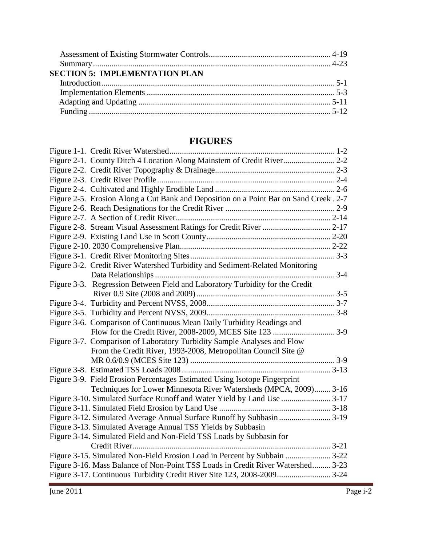| <b>SECTION 5: IMPLEMENTATION PLAN</b> |  |
|---------------------------------------|--|
|                                       |  |
|                                       |  |
|                                       |  |
|                                       |  |

## **FIGURES**

| Figure 2-5. Erosion Along a Cut Bank and Deposition on a Point Bar on Sand Creek. 2-7 |  |
|---------------------------------------------------------------------------------------|--|
|                                                                                       |  |
|                                                                                       |  |
|                                                                                       |  |
|                                                                                       |  |
|                                                                                       |  |
|                                                                                       |  |
| Figure 3-2. Credit River Watershed Turbidity and Sediment-Related Monitoring          |  |
|                                                                                       |  |
| Figure 3-3. Regression Between Field and Laboratory Turbidity for the Credit          |  |
|                                                                                       |  |
|                                                                                       |  |
|                                                                                       |  |
| Figure 3-6. Comparison of Continuous Mean Daily Turbidity Readings and                |  |
|                                                                                       |  |
| Figure 3-7. Comparison of Laboratory Turbidity Sample Analyses and Flow               |  |
| From the Credit River, 1993-2008, Metropolitan Council Site @                         |  |
|                                                                                       |  |
|                                                                                       |  |
| Figure 3-9. Field Erosion Percentages Estimated Using Isotope Fingerprint             |  |
| Techniques for Lower Minnesota River Watersheds (MPCA, 2009) 3-16                     |  |
|                                                                                       |  |
|                                                                                       |  |
|                                                                                       |  |
| Figure 3-13. Simulated Average Annual TSS Yields by Subbasin                          |  |
| Figure 3-14. Simulated Field and Non-Field TSS Loads by Subbasin for                  |  |
|                                                                                       |  |
|                                                                                       |  |
| Figure 3-16. Mass Balance of Non-Point TSS Loads in Credit River Watershed 3-23       |  |
|                                                                                       |  |